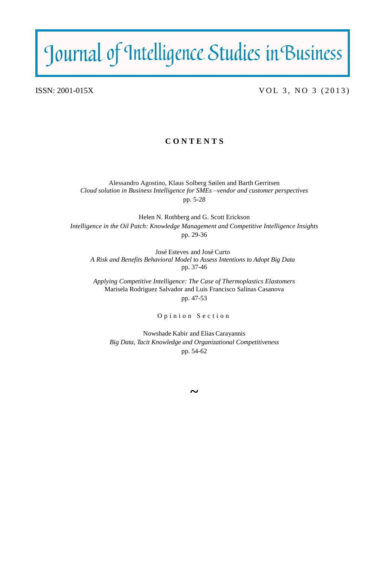# Journal of Intelligence Studies in Business

ISSN:  $2001-015X$  VOL 3, NO 3 (2013)

# **C O N T E N T S**

Alessandro Agostino, Klaus Solberg Søilen and Barth Gerritsen *Cloud solution in Business Intelligence for SMEs –vendor and customer perspectives* pp. 5-28

Helen N. Rothberg and G. Scott Erickson *Intelligence in the Oil Patch: Knowledge Management and Competitive Intelligence Insights* pp. 29-36

José Esteves and José Curto *A Risk and Benefits Behavioral Model to Assess Intentions to Adopt Big Data* pp. 37-46

*Applying Competitive Intelligence: The Case of Thermoplastics Elastomers* Marisela Rodriguez Salvador and Luis Francisco Salinas Casanova pp. 47-53

Opinion Section

Nowshade Kabir and Elias Carayannis *Big Data, Tacit Knowledge and Organizational Competitiveness* pp. 54-62

**~**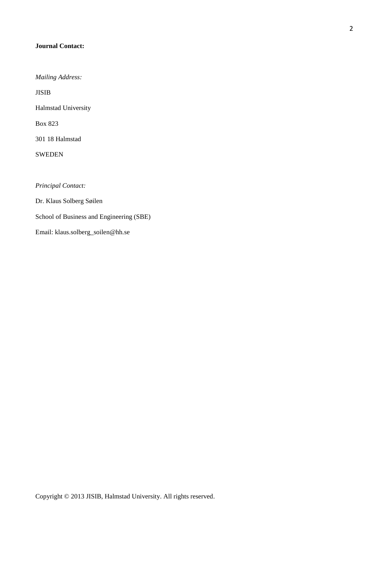## **Journal Contact:**

*Mailing Address:*

JISIB

Halmstad University

Box 823

301 18 Halmstad

SWEDEN

*Principal Contact:*

Dr. Klaus Solberg Søilen School of Business and Engineering (SBE)

Email: klaus.solberg\_soilen@hh.se

Copyright © 2013 JISIB, Halmstad University. All rights reserved.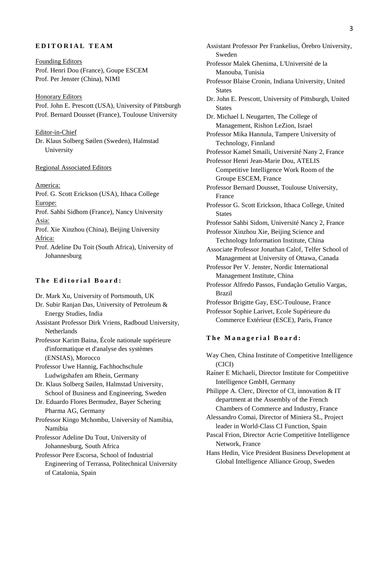# **EDITORIAL TEAM**

Founding Editors Prof. Henri Dou (France), Goupe ESCEM Prof. Per Jenster (China), NIMI

**Honorary Editors** Prof. John E. Prescott (USA), University of Pittsburgh Prof. Bernard Dousset (France), Toulouse University

Editor-in-Chief Dr. Klaus Solberg Søilen (Sweden), Halmstad University

#### Regional Associated Editors

America:

Prof. G. Scott Erickson (USA), Ithaca College Europe:

Prof. Sahbi Sidhom (France), Nancy University Asia:

- Prof. Xie Xinzhou (China), Beijing University Africa:
- Prof. Adeline Du Toit (South Africa), University of Johannesburg

### **The Editorial Board:**

- [Dr. Mark Xu,](javascript:openRTWindow() University of Portsmouth, UK
- [Dr. Subir Ranjan Das,](javascript:openRTWindow() University of Petroleum & Energy Studies, India
- [Assistant Professor Dirk Vriens,](javascript:openRTWindow() Radboud University, Netherlands

[Professor Karim Baina,](javascript:openRTWindow() École nationale supérieure d'informatique et d'analyse des systèmes (ENSIAS), Morocco

[Professor Uwe Hannig,](javascript:openRTWindow() Fachhochschule Ludwigshafen am Rhein, Germany

[Dr. Klaus Solberg Søilen,](javascript:openRTWindow() Halmstad University, School of Business and Engineering, Sweden

- [Dr. Eduardo Flores Bermudez,](javascript:openRTWindow() Bayer Schering Pharma AG, Germany
- [Professor Kingo Mchombu,](javascript:openRTWindow() University of Namibia, Namibia

[Professor Adeline Du Tout,](javascript:openRTWindow() University of Johannesburg, South Africa

[Professor Pere Escorsa,](javascript:openRTWindow() School of Industrial Engineering of Terrassa, Politechnical University of Catalonia, Spain

[Assistant Professor Per Frankelius,](javascript:openRTWindow() Örebro University, Sweden [Professor Malek Ghenima,](javascript:openRTWindow() L'Université de la Manouba, Tunisia [Professor Blaise Cronin,](javascript:openRTWindow() Indiana University, United **States** [Dr. John E. Prescott,](javascript:openRTWindow() University of Pittsburgh, United **States** [Dr. Michael L Neugarten,](javascript:openRTWindow() The College of Management, Rishon LeZion, Israel [Professor Mika Hannula,](javascript:openRTWindow() Tampere University of Technology, Finnland [Professor Kamel Smaili,](javascript:openRTWindow() Université Nany 2, France [Professor Henri Jean-Marie Dou,](javascript:openRTWindow() ATELIS Competitive Intelligence Work Room of the Groupe ESCEM, France [Professor Bernard Dousset,](javascript:openRTWindow() Toulouse University, France [Professor G. Scott Erickson,](javascript:openRTWindow() Ithaca College, United **States** [Professor Sahbi Sidom,](javascript:openRTWindow() Université Nancy 2, France [Professor Xinzhou Xie,](javascript:openRTWindow() Beijing Science and Technology Information Institute, China Associate [Professor Jonathan Calof,](javascript:openRTWindow() Telfer School of Management at University of Ottawa, Canada [Professor Per V. Jenster,](javascript:openRTWindow() Nordic International Management Institute, China [Professor Alfredo Passos,](javascript:openRTWindow() Fundação Getulio Vargas, Brazil [Professor Brigitte Gay,](javascript:openRTWindow() ESC-Toulouse, France [Professor Sophie Larivet,](javascript:openRTWindow() Ecole Supérieure du Commerce Extérieur (ESCE), Paris, France

#### **The Managerial Board:**

Way Chen, China Institute of Competitive Intelligence (CICI)

Raíner E Michaeli, Director Institute for Competitive Intelligence GmbH, Germany

Philippe A. Clerc, Director of CI, innovation & IT department at the Assembly of the French Chambers of Commerce and Industry, France

- Alessandro Comai, Director of Miniera SL, Project leader in World-Class CI Function, Spain
- Pascal Frion, Director Acrie Competitive Intelligence Network, France
- Hans Hedin, Vice President Business Development at Global Intelligence Alliance Group, Sweden